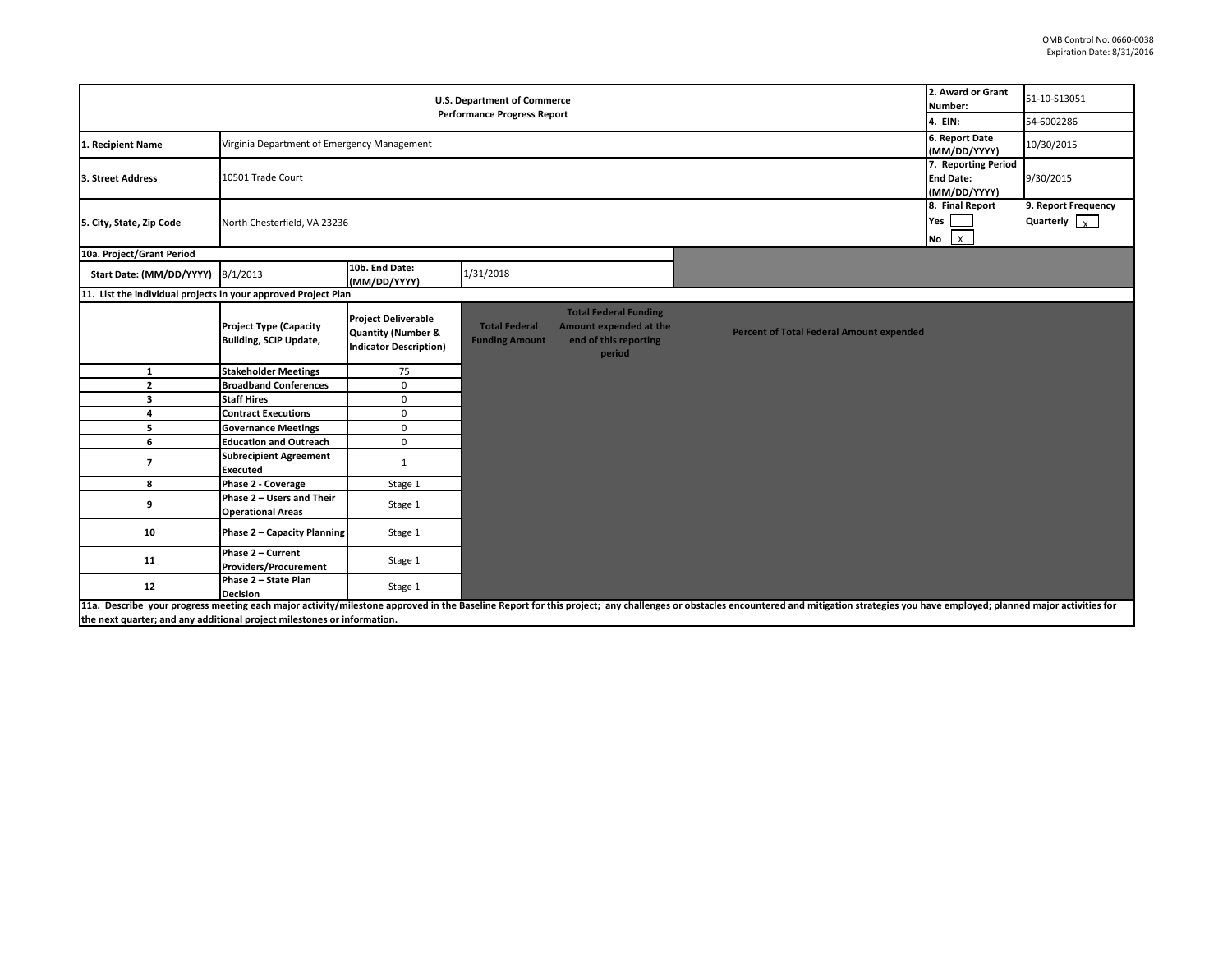| <b>U.S. Department of Commerce</b><br><b>Performance Progress Report</b> |                                                                              |                                                                                              |                                               |                                                                                           |                                                                                                                                                                                                                                | 2. Award or Grant<br>Number:                | 51-10-S13051                                |
|--------------------------------------------------------------------------|------------------------------------------------------------------------------|----------------------------------------------------------------------------------------------|-----------------------------------------------|-------------------------------------------------------------------------------------------|--------------------------------------------------------------------------------------------------------------------------------------------------------------------------------------------------------------------------------|---------------------------------------------|---------------------------------------------|
|                                                                          |                                                                              |                                                                                              |                                               |                                                                                           |                                                                                                                                                                                                                                | 4. EIN:                                     | 54-6002286                                  |
| 1. Recipient Name                                                        | Virginia Department of Emergency Management                                  |                                                                                              |                                               |                                                                                           |                                                                                                                                                                                                                                | 6. Report Date<br>(MM/DD/YYYY)              | 10/30/2015                                  |
| 3. Street Address                                                        | 7. Reporting Period<br>10501 Trade Court<br><b>End Date:</b><br>(MM/DD/YYYY) |                                                                                              |                                               |                                                                                           |                                                                                                                                                                                                                                |                                             | 9/30/2015                                   |
| 5. City, State, Zip Code                                                 | North Chesterfield, VA 23236                                                 |                                                                                              |                                               |                                                                                           |                                                                                                                                                                                                                                | 8. Final Report<br>Yes  <br>No <sub>X</sub> | 9. Report Frequency<br>Quarterly $\sqrt{x}$ |
| 10a. Project/Grant Period                                                |                                                                              |                                                                                              |                                               |                                                                                           |                                                                                                                                                                                                                                |                                             |                                             |
| Start Date: (MM/DD/YYYY) 8/1/2013                                        |                                                                              | 10b. End Date:<br>(MM/DD/YYYY)                                                               | 1/31/2018                                     |                                                                                           |                                                                                                                                                                                                                                |                                             |                                             |
| 11. List the individual projects in your approved Project Plan           |                                                                              |                                                                                              |                                               |                                                                                           |                                                                                                                                                                                                                                |                                             |                                             |
|                                                                          | <b>Project Type (Capacity</b><br><b>Building, SCIP Update,</b>               | <b>Project Deliverable</b><br><b>Quantity (Number &amp;</b><br><b>Indicator Description)</b> | <b>Total Federal</b><br><b>Funding Amount</b> | <b>Total Federal Funding</b><br>Amount expended at the<br>end of this reporting<br>period | <b>Percent of Total Federal Amount expended</b>                                                                                                                                                                                |                                             |                                             |
| 1                                                                        | <b>Stakeholder Meetings</b>                                                  | 75                                                                                           |                                               |                                                                                           |                                                                                                                                                                                                                                |                                             |                                             |
| $\overline{2}$                                                           | <b>Broadband Conferences</b>                                                 | $\mathbf 0$                                                                                  |                                               |                                                                                           |                                                                                                                                                                                                                                |                                             |                                             |
| з                                                                        | <b>Staff Hires</b>                                                           | $\mathbf 0$                                                                                  |                                               |                                                                                           |                                                                                                                                                                                                                                |                                             |                                             |
| 4                                                                        | <b>Contract Executions</b>                                                   | $\mathbf 0$                                                                                  |                                               |                                                                                           |                                                                                                                                                                                                                                |                                             |                                             |
| 5                                                                        | <b>Governance Meetings</b>                                                   | $\mathbf 0$                                                                                  |                                               |                                                                                           |                                                                                                                                                                                                                                |                                             |                                             |
| 6                                                                        | <b>Education and Outreach</b>                                                | $\mathbf 0$                                                                                  |                                               |                                                                                           |                                                                                                                                                                                                                                |                                             |                                             |
| $\overline{\phantom{a}}$                                                 | <b>Subrecipient Agreement</b><br><b>Executed</b>                             | $\mathbf{1}$                                                                                 |                                               |                                                                                           |                                                                                                                                                                                                                                |                                             |                                             |
| 8                                                                        | Phase 2 - Coverage                                                           | Stage 1                                                                                      |                                               |                                                                                           |                                                                                                                                                                                                                                |                                             |                                             |
| 9                                                                        | Phase 2 - Users and Their<br><b>Operational Areas</b>                        | Stage 1                                                                                      |                                               |                                                                                           |                                                                                                                                                                                                                                |                                             |                                             |
| 10                                                                       | Phase 2 - Capacity Planning                                                  | Stage 1                                                                                      |                                               |                                                                                           |                                                                                                                                                                                                                                |                                             |                                             |
| 11                                                                       | Phase 2 - Current<br><b>Providers/Procurement</b>                            | Stage 1                                                                                      |                                               |                                                                                           |                                                                                                                                                                                                                                |                                             |                                             |
| 12                                                                       | Phase 2 - State Plan<br><b>Decision</b>                                      | Stage 1                                                                                      |                                               |                                                                                           |                                                                                                                                                                                                                                |                                             |                                             |
| the next quarter; and any additional project milestones or information.  |                                                                              |                                                                                              |                                               |                                                                                           | 11a. Describe your progress meeting each major activity/milestone approved in the Baseline Report for this project; any challenges or obstacles encountered and mitigation strategies you have employed; planned major activit |                                             |                                             |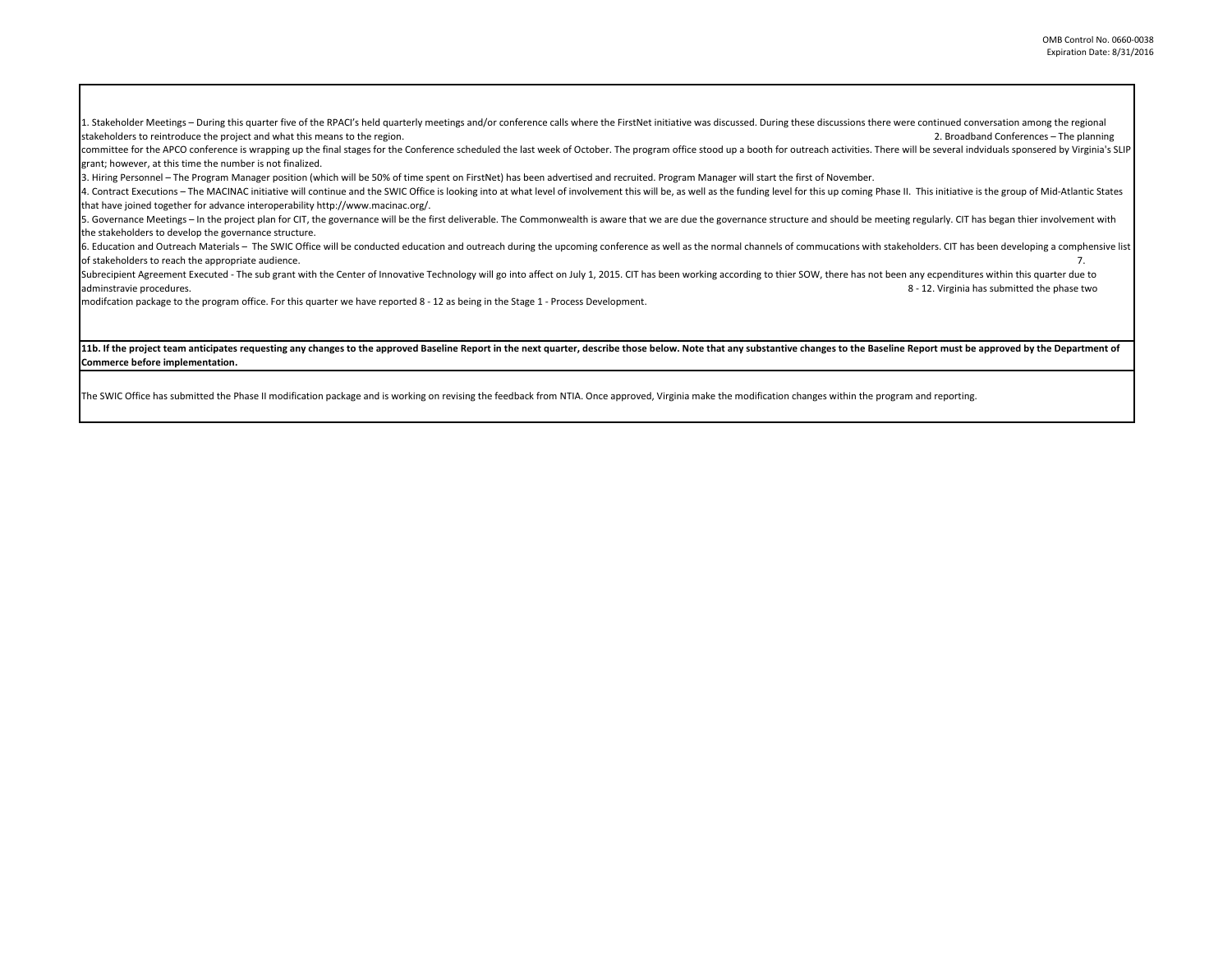1. Stakeholder Meetings - During this quarter five of the RPACI's held quarterly meetings and/or conference calls where the FirstNet initiative was discussed. During these discussions there were continued conversation amon stakeholders to reintroduce the project and what this means to the region. **2.** Broadband Conferences – The planning and the region.

committee for the APCO conference is wrapping up the final stages for the Conference scheduled the last week of October. The program office stood up a booth for outreach activities. There will be several indviduals sponser grant; however, at this time the number is not finalized.

3. Hiring Personnel – The Program Manager position (which will be 50% of time spent on FirstNet) has been advertised and recruited. Program Manager will start the first of November.

4. Contract Executions – The MACINAC initiative will continue and the SWIC Office is looking into at what level of involvement this will be, as well as the funding level for this up coming Phase II. This initiative is the that have joined together for advance interoperability http://www.macinac.org/.

5. Governance Meetings - In the project plan for CIT, the governance will be the first deliverable. The Commonwealth is aware that we are due the governance structure and should be meeting regularly. CIT has began thier in the stakeholders to develop the governance structure.

6. Education and Outreach Materials - The SWIC Office will be conducted education and outreach during the upcoming conference as well as the normal channels of commucations with stakeholders. CIT has been developing a comp of stakeholders to reach the appropriate audience. 7.

Subrecipient Agreement Executed - The sub grant with the Center of Innovative Technology will go into affect on July 1, 2015. CIT has been working according to thier SOW, there has not been any ecpenditures within this qua adminstravie procedures. 8 - 12. Virginia has submitted the phase two

modifcation package to the program office. For this quarter we have reported 8 - 12 as being in the Stage 1 - Process Development.

## 11b. If the project team anticipates requesting any changes to the approved Baseline Report in the next quarter, describe those below. Note that any substantive changes to the Baseline Report must be approved by the Depart **Commerce before implementation.**

The SWIC Office has submitted the Phase II modification package and is working on revising the feedback from NTIA. Once approved, Virginia make the modification changes within the program and reporting.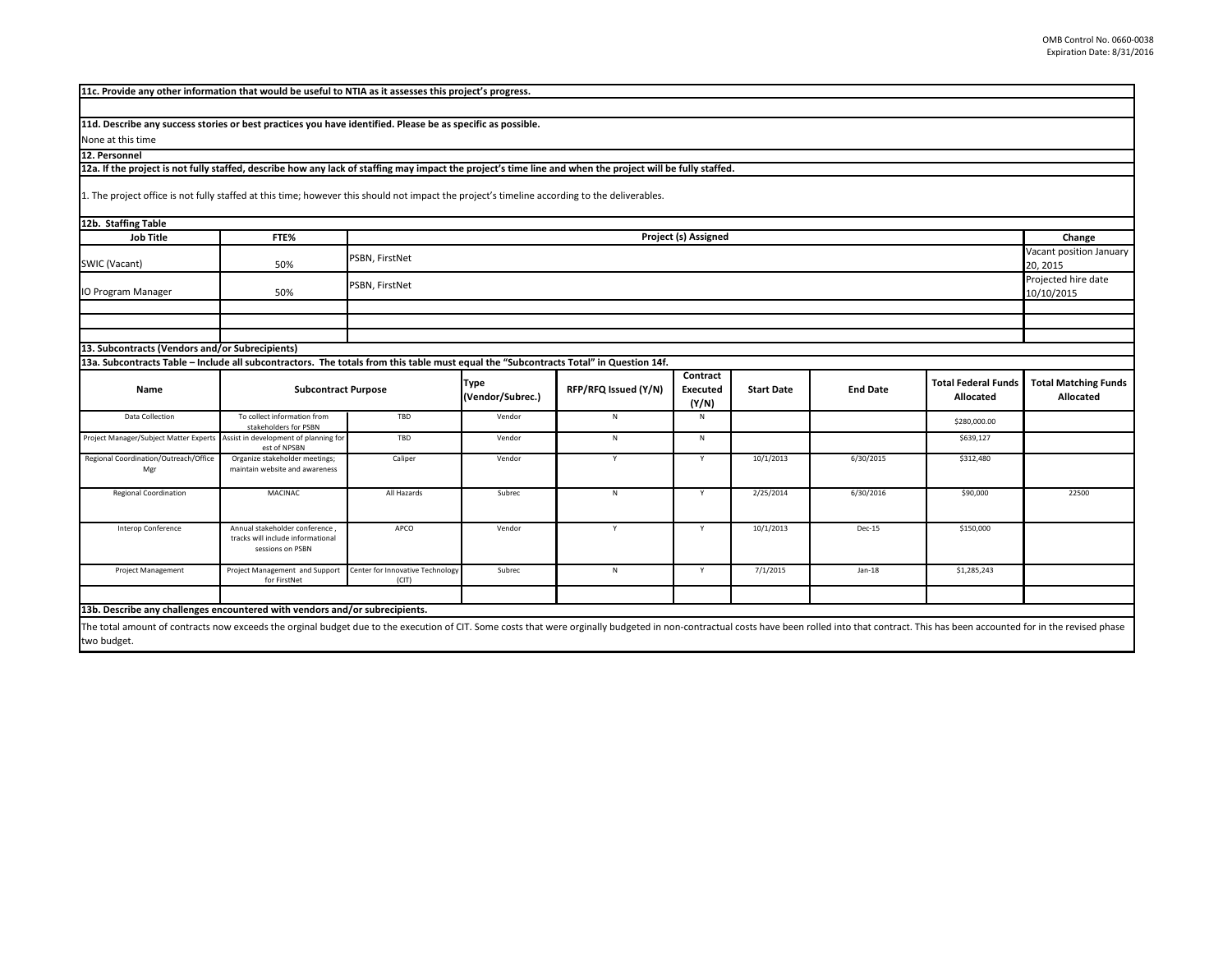| 11c. Provide any other information that would be useful to NTIA as it assesses this project's progress.                                                                                                                                       |                                                                                         |                                           |                                 |                      |                               |                   |                 |                                                |                                          |
|-----------------------------------------------------------------------------------------------------------------------------------------------------------------------------------------------------------------------------------------------|-----------------------------------------------------------------------------------------|-------------------------------------------|---------------------------------|----------------------|-------------------------------|-------------------|-----------------|------------------------------------------------|------------------------------------------|
|                                                                                                                                                                                                                                               |                                                                                         |                                           |                                 |                      |                               |                   |                 |                                                |                                          |
| 11d. Describe any success stories or best practices you have identified. Please be as specific as possible.                                                                                                                                   |                                                                                         |                                           |                                 |                      |                               |                   |                 |                                                |                                          |
| None at this time                                                                                                                                                                                                                             |                                                                                         |                                           |                                 |                      |                               |                   |                 |                                                |                                          |
| 12. Personnel                                                                                                                                                                                                                                 |                                                                                         |                                           |                                 |                      |                               |                   |                 |                                                |                                          |
| 12a. If the project is not fully staffed, describe how any lack of staffing may impact the project's time line and when the project will be fully staffed.                                                                                    |                                                                                         |                                           |                                 |                      |                               |                   |                 |                                                |                                          |
| 1. The project office is not fully staffed at this time; however this should not impact the project's timeline according to the deliverables.                                                                                                 |                                                                                         |                                           |                                 |                      |                               |                   |                 |                                                |                                          |
| 12b. Staffing Table                                                                                                                                                                                                                           |                                                                                         |                                           |                                 |                      |                               |                   |                 |                                                |                                          |
| <b>Job Title</b>                                                                                                                                                                                                                              | FTE%                                                                                    | Project (s) Assigned                      |                                 |                      |                               |                   |                 |                                                | Change                                   |
| SWIC (Vacant)                                                                                                                                                                                                                                 | 50%                                                                                     | PSBN, FirstNet                            |                                 |                      |                               |                   |                 | Vacant position January<br>20, 2015            |                                          |
| IO Program Manager                                                                                                                                                                                                                            | PSBN, FirstNet<br>50%                                                                   |                                           |                                 |                      |                               |                   |                 | Projected hire date<br>10/10/2015              |                                          |
|                                                                                                                                                                                                                                               |                                                                                         |                                           |                                 |                      |                               |                   |                 |                                                |                                          |
|                                                                                                                                                                                                                                               |                                                                                         |                                           |                                 |                      |                               |                   |                 |                                                |                                          |
|                                                                                                                                                                                                                                               |                                                                                         |                                           |                                 |                      |                               |                   |                 |                                                |                                          |
| 13. Subcontracts (Vendors and/or Subrecipients)                                                                                                                                                                                               |                                                                                         |                                           |                                 |                      |                               |                   |                 |                                                |                                          |
| 13a. Subcontracts Table - Include all subcontractors. The totals from this table must equal the "Subcontracts Total" in Question 14f.                                                                                                         |                                                                                         |                                           |                                 |                      |                               |                   |                 |                                                |                                          |
| Name                                                                                                                                                                                                                                          | <b>Subcontract Purpose</b>                                                              |                                           | <b>Type</b><br>(Vendor/Subrec.) | RFP/RFQ Issued (Y/N) | Contract<br>Executed<br>(Y/N) | <b>Start Date</b> | <b>End Date</b> | <b>Total Federal Funds</b><br><b>Allocated</b> | <b>Total Matching Funds</b><br>Allocated |
| Data Collection                                                                                                                                                                                                                               | To collect information from<br>stakeholders for PSBN                                    | TBD                                       | Vendor                          | ${\sf N}$            | N                             |                   |                 | \$280,000.00                                   |                                          |
| Project Manager/Subject Matter Experts Assist in development of planning for                                                                                                                                                                  | est of NPSBN                                                                            | TBD                                       | Vendor                          | ${\sf N}$            | $\,$ N                        |                   |                 | \$639,127                                      |                                          |
| Regional Coordination/Outreach/Office<br>Mgr                                                                                                                                                                                                  | Organize stakeholder meetings;<br>maintain website and awareness                        | Caliper                                   | Vendor                          | Y                    | Y                             | 10/1/2013         | 6/30/2015       | \$312,480                                      |                                          |
| Regional Coordination                                                                                                                                                                                                                         | MACINAC                                                                                 | All Hazards                               | Subrec                          | ${\sf N}$            | Y                             | 2/25/2014         | 6/30/2016       | \$90,000                                       | 22500                                    |
| Interop Conference                                                                                                                                                                                                                            | Annual stakeholder conference,<br>tracks will include informational<br>sessions on PSBN | APCO                                      | Vendor                          | Y                    | Y                             | 10/1/2013         | Dec-15          | \$150,000                                      |                                          |
| Project Management                                                                                                                                                                                                                            | Project Management and Support<br>for FirstNet                                          | Center for Innovative Technology<br>(CIT) | Subrec                          | $\mathsf{N}$         | Y                             | 7/1/2015          | $Jan-18$        | \$1,285,243                                    |                                          |
| 13b. Describe any challenges encountered with vendors and/or subrecipients.                                                                                                                                                                   |                                                                                         |                                           |                                 |                      |                               |                   |                 |                                                |                                          |
|                                                                                                                                                                                                                                               |                                                                                         |                                           |                                 |                      |                               |                   |                 |                                                |                                          |
| The total amount of contracts now exceeds the orginal budget due to the execution of CIT. Some costs that were orginally budgeted in non-contractual costs have been rolled into that contract. This has been accounted for in<br>two budget. |                                                                                         |                                           |                                 |                      |                               |                   |                 |                                                |                                          |